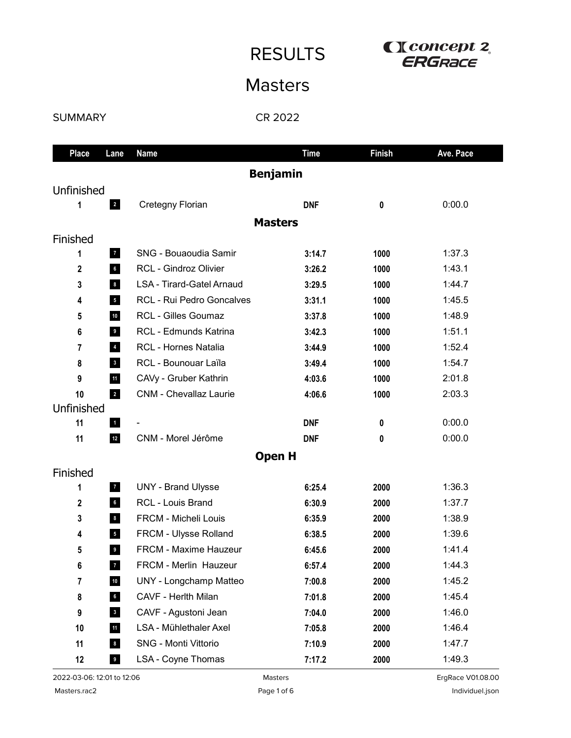RESULTS **CLOSE CONCEPT 2** 

## Masters

## SUMMARY

CR 2022

| <b>Place</b>            | Lane                    | <b>Name</b>                   | <b>Time</b> | <b>Finish</b> | Ave. Pace |
|-------------------------|-------------------------|-------------------------------|-------------|---------------|-----------|
| <b>Benjamin</b>         |                         |                               |             |               |           |
| Unfinished              |                         |                               |             |               |           |
| 1                       | $\overline{2}$          | Cretegny Florian              | <b>DNF</b>  | 0             | 0:00.0    |
|                         |                         | <b>Masters</b>                |             |               |           |
| Finished                |                         |                               |             |               |           |
| 1                       | 7 <sup>7</sup>          | <b>SNG - Bouaoudia Samir</b>  | 3:14.7      | 1000          | 1:37.3    |
| $\mathbf 2$             | $6\phantom{.0}$         | RCL - Gindroz Olivier         | 3:26.2      | 1000          | 1:43.1    |
| 3                       | $\bf{8}$                | LSA - Tirard-Gatel Arnaud     | 3:29.5      | 1000          | 1:44.7    |
| 4                       | $5\overline{5}$         | RCL - Rui Pedro Goncalves     | 3:31.1      | 1000          | 1:45.5    |
| 5                       | 10                      | <b>RCL - Gilles Goumaz</b>    | 3:37.8      | 1000          | 1:48.9    |
| 6                       | 9                       | RCL - Edmunds Katrina         | 3:42.3      | 1000          | 1:51.1    |
| 7                       | $\overline{4}$          | RCL - Hornes Natalia          | 3:44.9      | 1000          | 1:52.4    |
| 8                       | $\overline{\mathbf{3}}$ | RCL - Bounouar Laïla          | 3:49.4      | 1000          | 1:54.7    |
| 9                       | 11                      | CAVy - Gruber Kathrin         | 4:03.6      | 1000          | 2:01.8    |
| 10                      | $\overline{2}$          | <b>CNM - Chevallaz Laurie</b> | 4:06.6      | 1000          | 2:03.3    |
| Unfinished              |                         |                               |             |               |           |
| 11                      | $\mathbf{1}$            |                               | <b>DNF</b>  | 0             | 0:00.0    |
| 11                      | $12$                    | CNM - Morel Jérôme            | <b>DNF</b>  | 0             | 0:00.0    |
|                         |                         | <b>Open H</b>                 |             |               |           |
| Finished                |                         |                               |             |               |           |
| 1                       | $\mathbf{z}$            | <b>UNY - Brand Ulysse</b>     | 6:25.4      | 2000          | 1:36.3    |
| 2                       | $6\phantom{.0}$         | <b>RCL - Louis Brand</b>      | 6:30.9      | 2000          | 1:37.7    |
| 3                       | 8                       | FRCM - Micheli Louis          | 6:35.9      | 2000          | 1:38.9    |
| 4                       | $5\overline{)}$         | FRCM - Ulysse Rolland         | 6:38.5      | 2000          | 1:39.6    |
| 5                       | 9                       | <b>FRCM - Maxime Hauzeur</b>  | 6:45.6      | 2000          | 1:41.4    |
| 6                       | $\overline{7}$          | FRCM - Merlin Hauzeur         | 6:57.4      | 2000          | 1:44.3    |
| $\overline{\mathbf{r}}$ | $10\,$                  | <b>UNY</b> - Longchamp Matteo | 7:00.8      | 2000          | 1:45.2    |
| 8                       | $6\phantom{.0}$         | CAVF - Herlth Milan           | 7:01.8      | 2000          | 1:45.4    |
| 9                       | $\mathbf{3}$            | CAVF - Agustoni Jean          | 7:04.0      | 2000          | 1:46.0    |
| 10                      | 11                      | LSA - Mühlethaler Axel        | 7:05.8      | 2000          | 1:46.4    |
| 11                      | $\boldsymbol{8}$        | SNG - Monti Vittorio          | 7:10.9      | 2000          | 1:47.7    |
| 12                      | $\overline{9}$          | LSA - Coyne Thomas            | 7:17.2      | 2000          | 1:49.3    |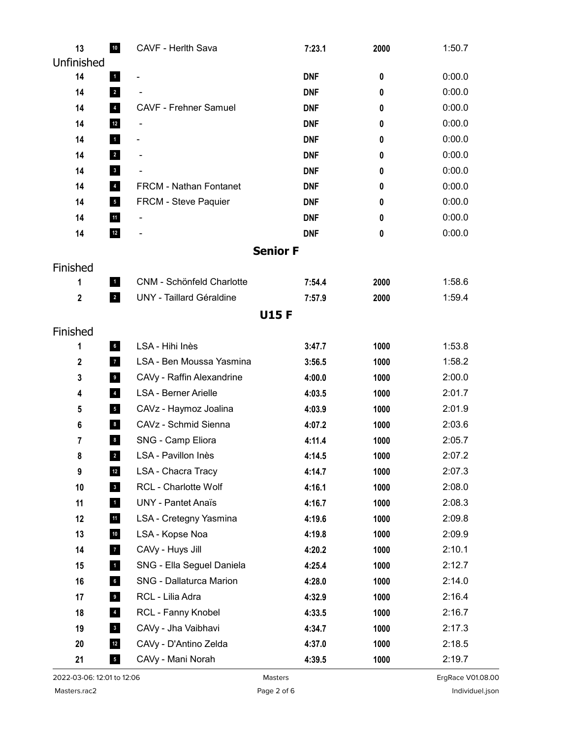| 13          | 10                      | CAVF - Herlth Sava              | 7:23.1          | 2000 | 1:50.7 |
|-------------|-------------------------|---------------------------------|-----------------|------|--------|
| Unfinished  |                         |                                 |                 |      |        |
| 14          | $\blacksquare$          |                                 | <b>DNF</b>      | 0    | 0:00.0 |
| 14          | $\overline{2}$          |                                 | <b>DNF</b>      | 0    | 0:00.0 |
| 14          | $\overline{4}$          | <b>CAVF - Frehner Samuel</b>    | <b>DNF</b>      | 0    | 0:00.0 |
| 14          | $12$                    | $\qquad \qquad \blacksquare$    | <b>DNF</b>      | 0    | 0:00.0 |
| 14          | $\mathbf{1}$            | $\qquad \qquad \blacksquare$    | <b>DNF</b>      | 0    | 0:00.0 |
| 14          | $\overline{2}$          | -                               | <b>DNF</b>      | 0    | 0:00.0 |
| 14          | $\overline{\mathbf{3}}$ |                                 | <b>DNF</b>      | 0    | 0:00.0 |
| 14          | $\overline{4}$          | FRCM - Nathan Fontanet          | <b>DNF</b>      | 0    | 0:00.0 |
| 14          | $5\phantom{.0}$         | FRCM - Steve Paquier            | <b>DNF</b>      | 0    | 0:00.0 |
| 14          | 11                      |                                 | <b>DNF</b>      | 0    | 0:00.0 |
| 14          | $12$                    |                                 | <b>DNF</b>      | 0    | 0:00.0 |
|             |                         |                                 | <b>Senior F</b> |      |        |
| Finished    |                         |                                 |                 |      |        |
| 1           | $\blacksquare$          | CNM - Schönfeld Charlotte       | 7:54.4          | 2000 | 1:58.6 |
| $\mathbf 2$ | $\overline{2}$          | <b>UNY</b> - Taillard Géraldine | 7:57.9          | 2000 | 1:59.4 |
|             |                         | <b>U15F</b>                     |                 |      |        |
| Finished    |                         |                                 |                 |      |        |
| 1           | $6\overline{6}$         | LSA - Hihi Inès                 | 3:47.7          | 1000 | 1:53.8 |
| 2           | $\overline{7}$          | LSA - Ben Moussa Yasmina        | 3:56.5          | 1000 | 1:58.2 |
| 3           | 9 <sub>g</sub>          | CAVy - Raffin Alexandrine       | 4:00.0          | 1000 | 2:00.0 |
| 4           | $\overline{4}$          | <b>LSA - Berner Arielle</b>     | 4:03.5          | 1000 | 2:01.7 |
| 5           | $5\overline{)}$         | CAVz - Haymoz Joalina           | 4:03.9          | 1000 | 2:01.9 |
| 6           | $\boldsymbol{8}$        | CAVz - Schmid Sienna            | 4:07.2          | 1000 | 2:03.6 |
| 7           | $\bf 8$                 | SNG - Camp Eliora               | 4:11.4          | 1000 | 2:05.7 |
| 8           | $\overline{\mathbf{2}}$ | LSA - Pavillon Inès             | 4:14.5          | 1000 | 2:07.2 |
| 9           | $12$                    | LSA - Chacra Tracy              | 4:14.7          | 1000 | 2:07.3 |
| 10          | 3 <sub>o</sub>          | RCL - Charlotte Wolf            | 4:16.1          | 1000 | 2:08.0 |
| 11          | $\overline{1}$          | <b>UNY - Pantet Anaïs</b>       | 4:16.7          | 1000 | 2:08.3 |
| 12          | $11$                    | LSA - Cretegny Yasmina          | 4:19.6          | 1000 | 2:09.8 |
| 13          | 10                      | LSA - Kopse Noa                 | 4:19.8          | 1000 | 2:09.9 |
| 14          | $\overline{7}$          | CAVy - Huys Jill                | 4:20.2          | 1000 | 2:10.1 |
| 15          | $\blacksquare$          | SNG - Ella Seguel Daniela       | 4:25.4          | 1000 | 2:12.7 |
| 16          | $6\phantom{.0}$         | SNG - Dallaturca Marion         | 4:28.0          | 1000 | 2:14.0 |
| 17          | $\overline{9}$          | RCL - Lilia Adra                | 4:32.9          | 1000 | 2:16.4 |
| 18          | $\overline{4}$          | RCL - Fanny Knobel              | 4:33.5          | 1000 | 2:16.7 |
| 19          | $\overline{\mathbf{3}}$ | CAVy - Jha Vaibhavi             | 4:34.7          | 1000 | 2:17.3 |
| 20          | $12$                    | CAVy - D'Antino Zelda           | 4:37.0          | 1000 | 2:18.5 |
| 21          | $\overline{\mathbf{5}}$ | CAVy - Mani Norah               | 4:39.5          | 1000 | 2:19.7 |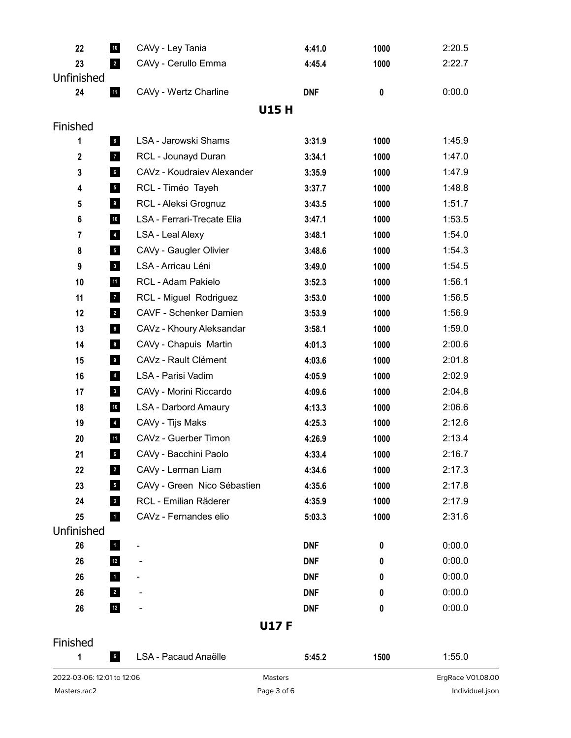| Masters.rac2                                         | Page 3 of 6                   |                  |              | Individuel.json   |
|------------------------------------------------------|-------------------------------|------------------|--------------|-------------------|
| 2022-03-06: 12:01 to 12:06                           | Masters                       |                  |              | ErgRace V01.08.00 |
| $6\overline{6}$<br>1                                 | LSA - Pacaud Anaëlle          | 5:45.2           | 1500         | 1:55.0            |
| Finished                                             |                               |                  |              |                   |
|                                                      | <b>U17F</b>                   |                  |              |                   |
| $12$<br>26                                           |                               | <b>DNF</b>       | 0            | 0:00.0            |
| 26<br>$\overline{\mathbf{2}}$                        |                               | <b>DNF</b>       | 0            | 0:00.0            |
| $\mathbf{1}$<br>26                                   |                               | <b>DNF</b>       | 0            | 0:00.0            |
| $12$<br>26                                           | $\qquad \qquad \blacksquare$  | <b>DNF</b>       | 0            | 0:00.0            |
| 26<br>$\blacksquare$                                 | -                             | <b>DNF</b>       | 0            | 0:00.0            |
| Unfinished                                           |                               |                  |              |                   |
| 25<br>$\mathbf{1}$                                   | CAVz - Fernandes elio         | 5:03.3           | 1000         | 2:31.6            |
| $\overline{\mathbf{3}}$<br>24                        | RCL - Emilian Räderer         | 4:35.9           | 1000         | 2:17.9            |
| 23<br>$5\phantom{.0}$                                | CAVy - Green Nico Sébastien   | 4:35.6           | 1000         | 2:17.8            |
| 22<br>$\overline{2}$                                 | CAVy - Lerman Liam            | 4:34.6           | 1000         | 2:17.3            |
| $6\phantom{a}$<br>21                                 | CAVy - Bacchini Paolo         | 4:33.4           | 1000         | 2:16.7            |
| $11$<br>20                                           | CAVz - Guerber Timon          | 4:26.9           | 1000         | 2:13.4            |
| $\overline{\mathbf{4}}$<br>19                        | CAVy - Tijs Maks              | 4:25.3           | 1000         | 2:12.6            |
| $10$<br>18                                           | LSA - Darbord Amaury          | 4:13.3           | 1000         | 2:06.6            |
| $\overline{\mathbf{3}}$<br>17                        | CAVy - Morini Riccardo        | 4:09.6           | 1000         | 2:04.8            |
| $\overline{\mathbf{4}}$<br>16                        | LSA - Parisi Vadim            | 4:05.9           | 1000         | 2:02.9            |
| 15<br>$\overline{9}$                                 | CAVz - Rault Clément          | 4:03.6           | 1000         | 2:01.8            |
| $\boldsymbol{8}$<br>14                               | CAVy - Chapuis Martin         | 4:01.3           | 1000         | 2:00.6            |
| 13<br>$6\phantom{a}$                                 | CAVz - Khoury Aleksandar      | 3:58.1           | 1000         | 1:59.0            |
| 12<br>$\overline{\mathbf{r}}$                        | <b>CAVF - Schenker Damien</b> | 3:53.9           | 1000         | 1:56.9            |
| $\mathbf{7}$<br>11                                   | RCL - Miguel Rodriguez        | 3:53.0           | 1000         | 1:56.5            |
| 10<br>$11$                                           | RCL - Adam Pakielo            | 3:52.3           | 1000         | 1:56.1            |
| $\mathbf{3}$<br>9                                    | LSA - Arricau Léni            | 3:49.0           | 1000         | 1:54.5            |
| 8<br>$\overline{\phantom{a}}$                        | CAVy - Gaugler Olivier        | 3:48.6           | 1000         | 1:54.3            |
| $\overline{4}$<br>7                                  | <b>LSA - Leal Alexy</b>       | 3:48.1           | 1000         | 1:54.0            |
| ${\bf 10}$<br>6                                      | LSA - Ferrari-Trecate Elia    | 3:47.1           | 1000         | 1:53.5            |
| 9 <sub>o</sub><br>5                                  | RCL - Aleksi Grognuz          | 3:43.5           | 1000         | 1:51.7            |
| 3<br>$6\phantom{a}$<br>$\overline{\phantom{a}}$<br>4 | RCL - Timéo Tayeh             | 3:35.9<br>3:37.7 | 1000         | 1:48.8            |
| $\mathbf 2$<br>$\overline{7}$                        | CAVz - Koudraiev Alexander    | 3:34.1           | 1000<br>1000 | 1:47.9            |
| $\boldsymbol{8}$<br>1                                | RCL - Jounayd Duran           | 3:31.9           | 1000         | 1:45.9<br>1:47.0  |
| Finished                                             | LSA - Jarowski Shams          |                  |              |                   |
|                                                      | <b>U15H</b>                   |                  |              |                   |
| 11<br>24                                             | CAVy - Wertz Charline         | <b>DNF</b>       | $\mathbf 0$  | 0:00.0            |
| Unfinished                                           |                               |                  |              |                   |
| 23<br>$\overline{\mathbf{2}}$                        | CAVy - Cerullo Emma           | 4:45.4           | 1000         | 2:22.7            |
| $10\,$<br>22                                         | CAVy - Ley Tania              | 4:41.0           | 1000         | 2:20.5            |
|                                                      |                               |                  |              |                   |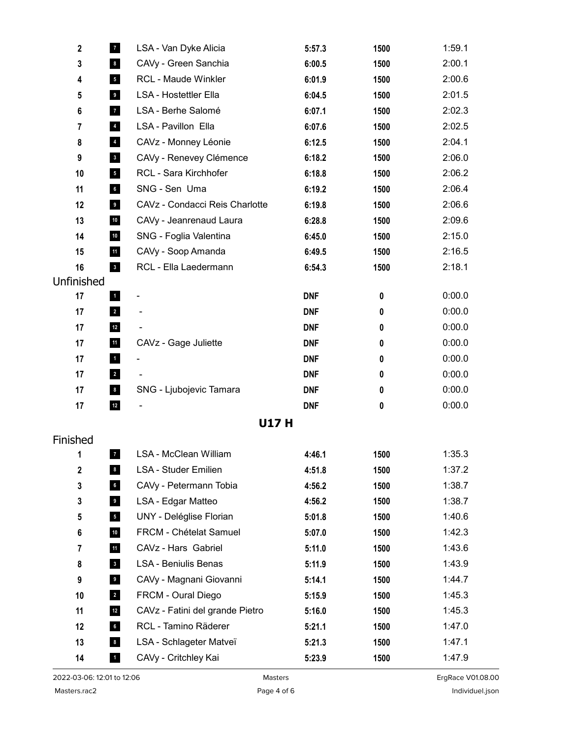| $\mathbf 2$    | $\mathbf{7}$            | LSA - Van Dyke Alicia           | 5:57.3     | 1500 | 1:59.1 |
|----------------|-------------------------|---------------------------------|------------|------|--------|
| $\mathbf 3$    | $\bf{8}$                | CAVy - Green Sanchia            | 6:00.5     | 1500 | 2:00.1 |
| 4              | 5 <sub>5</sub>          | <b>RCL - Maude Winkler</b>      | 6:01.9     | 1500 | 2:00.6 |
| 5              | 9 <sub>o</sub>          | <b>LSA - Hostettler Ella</b>    | 6:04.5     | 1500 | 2:01.5 |
| 6              | 7 <sub>1</sub>          | LSA - Berhe Salomé              | 6:07.1     | 1500 | 2:02.3 |
| 7              | $\overline{\mathbf{4}}$ | LSA - Pavillon Ella             | 6:07.6     | 1500 | 2:02.5 |
| 8              | $\overline{\mathbf{4}}$ | CAVz - Monney Léonie            | 6:12.5     | 1500 | 2:04.1 |
| 9              | $\overline{\mathbf{3}}$ | CAVy - Renevey Clémence         | 6:18.2     | 1500 | 2:06.0 |
| 10             | 5 <sub>5</sub>          | RCL - Sara Kirchhofer           | 6:18.8     | 1500 | 2:06.2 |
| 11             | $6\overline{6}$         | SNG - Sen Uma                   | 6:19.2     | 1500 | 2:06.4 |
| 12             | $\overline{9}$          | CAVz - Condacci Reis Charlotte  | 6:19.8     | 1500 | 2:06.6 |
| 13             | $10\,$                  | CAVy - Jeanrenaud Laura         | 6:28.8     | 1500 | 2:09.6 |
| 14             | $10$                    | SNG - Foglia Valentina          | 6:45.0     | 1500 | 2:15.0 |
| 15             | $11$                    | CAVy - Soop Amanda              | 6:49.5     | 1500 | 2:16.5 |
| 16             | $\overline{\mathbf{3}}$ | RCL - Ella Laedermann           | 6:54.3     | 1500 | 2:18.1 |
| Unfinished     |                         |                                 |            |      |        |
| 17             | $\mathbf{1}$            | -                               | <b>DNF</b> | 0    | 0:00.0 |
| 17             | $\overline{2}$          |                                 | <b>DNF</b> | 0    | 0:00.0 |
| 17             | $12$                    |                                 | <b>DNF</b> | 0    | 0:00.0 |
| 17             | 11                      | CAVz - Gage Juliette            | <b>DNF</b> | 0    | 0:00.0 |
| 17             | $\blacksquare$          |                                 | <b>DNF</b> | 0    | 0:00.0 |
| 17             | $\overline{\mathbf{2}}$ | $\overline{\phantom{0}}$        | <b>DNF</b> | 0    | 0:00.0 |
| 17             | $\boldsymbol{8}$        | SNG - Ljubojevic Tamara         | <b>DNF</b> | 0    | 0:00.0 |
| 17             | $12$                    |                                 | <b>DNF</b> | 0    | 0:00.0 |
|                |                         | <b>U17H</b>                     |            |      |        |
| Finished       |                         |                                 |            |      |        |
| 1              | $\mathbf{7}$            | LSA - McClean William           | 4:46.1     | 1500 | 1:35.3 |
| $\mathbf 2$    | $\boldsymbol{8}$        | <b>LSA - Studer Emilien</b>     | 4:51.8     | 1500 | 1:37.2 |
| 3              | $6\overline{6}$         | CAVy - Petermann Tobia          | 4:56.2     | 1500 | 1:38.7 |
| 3              | 9 <sub>g</sub>          | LSA - Edgar Matteo              | 4:56.2     | 1500 | 1:38.7 |
| ${\bf 5}$      | 5 <sub>5</sub>          | UNY - Deléglise Florian         | 5:01.8     | 1500 | 1:40.6 |
| 6              | $10$                    | FRCM - Chételat Samuel          | 5:07.0     | 1500 | 1:42.3 |
| $\overline{7}$ | $11$                    | CAVz - Hars Gabriel             | 5:11.0     | 1500 | 1:43.6 |
| 8              | 3 <sup>1</sup>          | <b>LSA - Beniulis Benas</b>     | 5:11.9     | 1500 | 1:43.9 |
| 9              | $\overline{\mathbf{9}}$ | CAVy - Magnani Giovanni         | 5:14.1     | 1500 | 1:44.7 |
| 10             | $\overline{\mathbf{2}}$ | FRCM - Oural Diego              | 5:15.9     | 1500 | 1:45.3 |
| 11             | $12$                    | CAVz - Fatini del grande Pietro | 5:16.0     | 1500 | 1:45.3 |
| 12             | $6\overline{6}$         | RCL - Tamino Räderer            | 5:21.1     | 1500 | 1:47.0 |
| 13             | $\boldsymbol{8}$        | LSA - Schlageter Matveï         | 5:21.3     | 1500 | 1:47.1 |
| 14             | $\mathbf{1}$            | CAVy - Critchley Kai            | 5:23.9     | 1500 | 1:47.9 |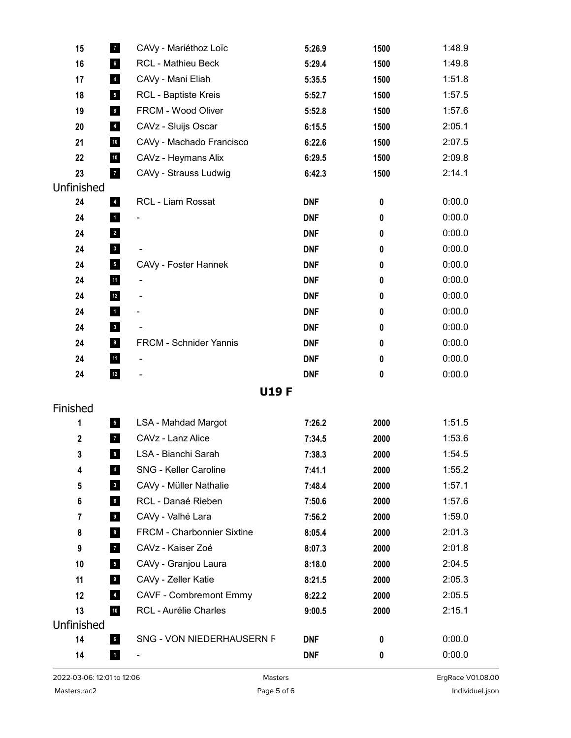| 15               | $\mathbf{7}$            | CAVy - Mariéthoz Loïc         | 5:26.9     | 1500      | 1:48.9 |
|------------------|-------------------------|-------------------------------|------------|-----------|--------|
| 16               | $6\overline{6}$         | <b>RCL - Mathieu Beck</b>     | 5:29.4     | 1500      | 1:49.8 |
| 17               | $\overline{\mathbf{4}}$ | CAVy - Mani Eliah             | 5:35.5     | 1500      | 1:51.8 |
| 18               | $5\overline{)}$         | <b>RCL - Baptiste Kreis</b>   | 5:52.7     | 1500      | 1:57.5 |
| 19               | $\boldsymbol{8}$        | FRCM - Wood Oliver            | 5:52.8     | 1500      | 1:57.6 |
| 20               | $\overline{\mathbf{4}}$ | CAVz - Sluijs Oscar           | 6:15.5     | 1500      | 2:05.1 |
| 21               | $10\,$                  | CAVy - Machado Francisco      | 6:22.6     | 1500      | 2:07.5 |
| 22               | $10$                    | CAVz - Heymans Alix           | 6:29.5     | 1500      | 2:09.8 |
| 23               | $\overline{7}$          | CAVy - Strauss Ludwig         | 6:42.3     | 1500      | 2:14.1 |
| Unfinished       |                         |                               |            |           |        |
| 24               | $\overline{4}$          | RCL - Liam Rossat             | <b>DNF</b> | $\pmb{0}$ | 0:00.0 |
| 24               | $\mathbf{1}$            | $\qquad \qquad \blacksquare$  | <b>DNF</b> | $\pmb{0}$ | 0:00.0 |
| 24               | $\overline{\mathbf{2}}$ |                               | <b>DNF</b> | $\pmb{0}$ | 0:00.0 |
| 24               | $\overline{\mathbf{3}}$ |                               | <b>DNF</b> | 0         | 0:00.0 |
| 24               | 5 <sub>1</sub>          | CAVy - Foster Hannek          | <b>DNF</b> | $\pmb{0}$ | 0:00.0 |
| 24               | 11                      |                               | <b>DNF</b> | $\pmb{0}$ | 0:00.0 |
| 24               | $12$                    | $\overline{\phantom{0}}$      | <b>DNF</b> | $\pmb{0}$ | 0:00.0 |
| 24               | $\mathbf{1}$            | $\qquad \qquad \blacksquare$  | <b>DNF</b> | $\pmb{0}$ | 0:00.0 |
| 24               | $\mathbf{3}$            |                               | <b>DNF</b> | 0         | 0:00.0 |
| 24               | 9                       | FRCM - Schnider Yannis        | <b>DNF</b> | $\pmb{0}$ | 0:00.0 |
| 24               | 11                      | -                             | <b>DNF</b> | $\pmb{0}$ | 0:00.0 |
| 24               | $12$                    | -                             | <b>DNF</b> | $\pmb{0}$ | 0:00.0 |
|                  |                         | <b>U19F</b>                   |            |           |        |
| Finished         |                         |                               |            |           |        |
| 1                | 5 <sub>1</sub>          | <b>LSA - Mahdad Margot</b>    | 7:26.2     | 2000      | 1:51.5 |
| $\boldsymbol{2}$ | $\mathbf{7}$            | CAVz - Lanz Alice             | 7:34.5     | 2000      | 1:53.6 |
| 3                | $\bf{8}$                | LSA - Bianchi Sarah           | 7:38.3     | 2000      | 1:54.5 |
| 4                | $4\overline{ }$         | SNG - Keller Caroline         | 7:41.1     | 2000      | 1:55.2 |
| 5                | 3 <sup>1</sup>          | CAVy - Müller Nathalie        | 7:48.4     | 2000      | 1:57.1 |
| 6                | $6\overline{6}$         | RCL - Danaé Rieben            | 7:50.6     | 2000      | 1:57.6 |
| $\overline{7}$   | 9 <sub>g</sub>          | CAVy - Valhé Lara             | 7:56.2     | 2000      | 1:59.0 |
| 8                | $\boldsymbol{8}$        | FRCM - Charbonnier Sixtine    | 8:05.4     | 2000      | 2:01.3 |
| 9                | 7 <sub>1</sub>          | CAVz - Kaiser Zoé             | 8:07.3     | 2000      | 2:01.8 |
| 10               | 5 <sub>5</sub>          | CAVy - Granjou Laura          | 8:18.0     | 2000      | 2:04.5 |
| 11               | 9 <sub>g</sub>          | CAVy - Zeller Katie           | 8:21.5     | 2000      | 2:05.3 |
| 12               | $\overline{4}$          | <b>CAVF - Combremont Emmy</b> | 8:22.2     | 2000      | 2:05.5 |
| 13               | $10$                    | RCL - Aurélie Charles         | 9:00.5     | 2000      | 2:15.1 |
| Unfinished       |                         |                               |            |           |        |
| 14               | $6\overline{6}$         | SNG - VON NIEDERHAUSERN F     | DNF        | $\pmb{0}$ | 0:00.0 |
| 14               | $\mathbf{1}$            |                               | <b>DNF</b> | $\pmb{0}$ | 0:00.0 |